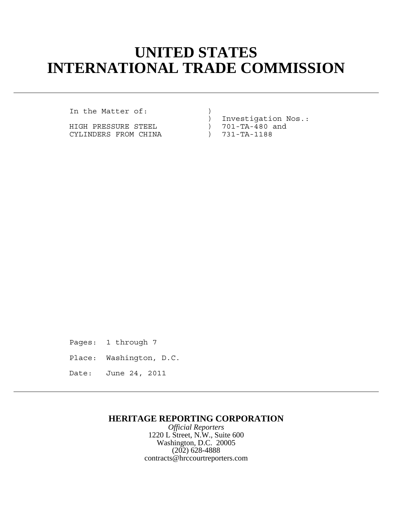# **UNITED STATES INTERNATIONAL TRADE COMMISSION**

In the Matter of:

HIGH PRESSURE STEEL  $\begin{array}{ccc} 1 & 701-TA-480 \\ \text{CYLINDERS FROM CHINA} & 731-TA-1188 \end{array}$ CYLINDERS FROM CHINA

) Investigation Nos.:<br>) 701-TA-480 and

Pages: 1 through 7

Place: Washington, D.C.

Date: June 24, 2011

## **HERITAGE REPORTING CORPORATION**

*Official Reporters* 1220 L Street, N.W., Suite 600 Washington, D.C. 20005 (202) 628-4888 contracts@hrccourtreporters.com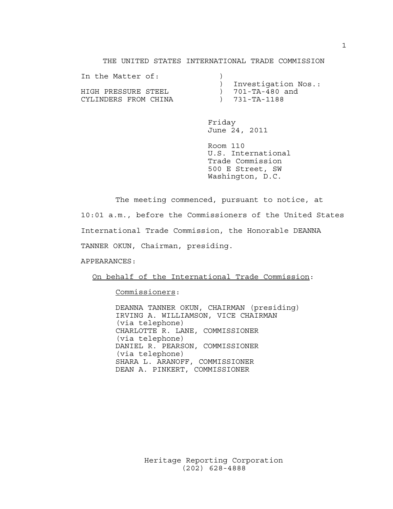### THE UNITED STATES INTERNATIONAL TRADE COMMISSION

| In the Matter of:    |                       |
|----------------------|-----------------------|
|                      | ) Investigation Nos.: |
| HIGH PRESSURE STEEL  | ) 701-TA-480 and      |
| CYLINDERS FROM CHINA | $) 731 - TA - 1188$   |

Friday June 24, 2011

Room 110 U.S. International Trade Commission 500 E Street, SW Washington, D.C.

The meeting commenced, pursuant to notice, at 10:01 a.m., before the Commissioners of the United States International Trade Commission, the Honorable DEANNA TANNER OKUN, Chairman, presiding.

APPEARANCES:

On behalf of the International Trade Commission:

Commissioners:

DEANNA TANNER OKUN, CHAIRMAN (presiding) IRVING A. WILLIAMSON, VICE CHAIRMAN (via telephone) CHARLOTTE R. LANE, COMMISSIONER (via telephone) DANIEL R. PEARSON, COMMISSIONER (via telephone) SHARA L. ARANOFF, COMMISSIONER DEAN A. PINKERT, COMMISSIONER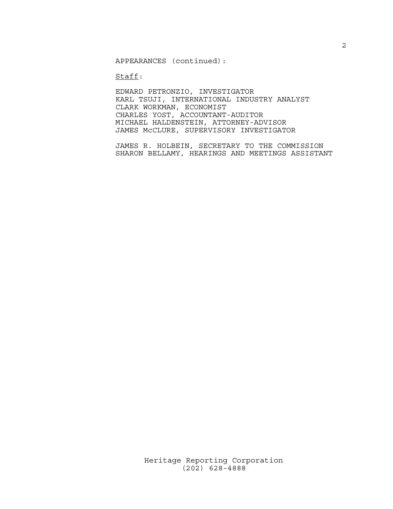APPEARANCES (continued):

Staff:

EDWARD PETRONZIO, INVESTIGATOR KARL TSUJI, INTERNATIONAL INDUSTRY ANALYST CLARK WORKMAN, ECONOMIST CHARLES YOST, ACCOUNTANT-AUDITOR MICHAEL HALDENSTEIN, ATTORNEY-ADVISOR JAMES McCLURE, SUPERVISORY INVESTIGATOR

JAMES R. HOLBEIN, SECRETARY TO THE COMMISSION SHARON BELLAMY, HEARINGS AND MEETINGS ASSISTANT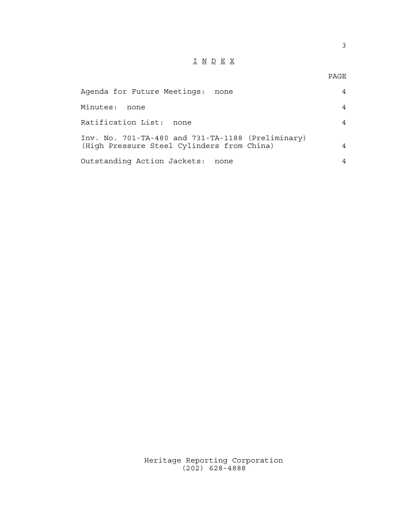## I N D E X

| Agenda for Future Meetings: none                                                                | 4 |
|-------------------------------------------------------------------------------------------------|---|
| Minutes:<br>none                                                                                | 4 |
| Ratification List: none                                                                         | 4 |
| Inv. No. 701-TA-480 and 731-TA-1188 (Preliminary)<br>(High Pressure Steel Cylinders from China) | 4 |
| Outstanding Action Jackets: none                                                                | 4 |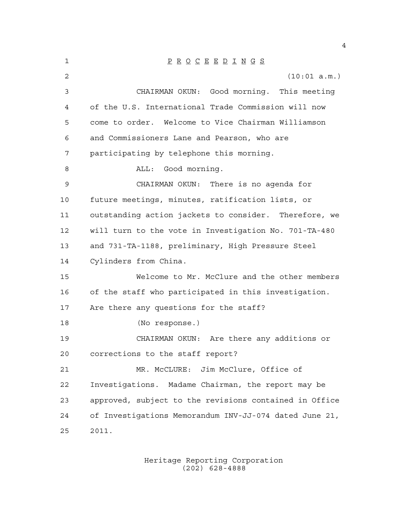| $\mathbf 1$    | $\underline{P} \underline{R} \underline{O} \underline{C} \underline{E} \underline{E} \underline{D} \underline{I} \underline{N} \underline{G} \underline{S}$ |
|----------------|-------------------------------------------------------------------------------------------------------------------------------------------------------------|
| $\overline{a}$ | (10:01 a.m.)                                                                                                                                                |
| 3              | CHAIRMAN OKUN: Good morning. This meeting                                                                                                                   |
| 4              | of the U.S. International Trade Commission will now                                                                                                         |
| 5              | come to order. Welcome to Vice Chairman Williamson                                                                                                          |
| 6              | and Commissioners Lane and Pearson, who are                                                                                                                 |
| 7              | participating by telephone this morning.                                                                                                                    |
| 8              | ALL: Good morning.                                                                                                                                          |
| 9              | CHAIRMAN OKUN: There is no agenda for                                                                                                                       |
| 10             | future meetings, minutes, ratification lists, or                                                                                                            |
| 11             | outstanding action jackets to consider. Therefore, we                                                                                                       |
| 12             | will turn to the vote in Investigation No. 701-TA-480                                                                                                       |
| 13             | and 731-TA-1188, preliminary, High Pressure Steel                                                                                                           |
| 14             | Cylinders from China.                                                                                                                                       |
| 15             | Welcome to Mr. McClure and the other members                                                                                                                |
| 16             | of the staff who participated in this investigation.                                                                                                        |
| 17             | Are there any questions for the staff?                                                                                                                      |
| 18             | (No response.)                                                                                                                                              |
| 19             | CHAIRMAN OKUN: Are there any additions or                                                                                                                   |
| 20             | corrections to the staff report?                                                                                                                            |
| 21             | Jim McClure, Office of<br>MR. MCCLURE:                                                                                                                      |
| 22             | Investigations. Madame Chairman, the report may be                                                                                                          |
| 23             | approved, subject to the revisions contained in Office                                                                                                      |
| 24             | of Investigations Memorandum INV-JJ-074 dated June 21,                                                                                                      |
| 25             | 2011.                                                                                                                                                       |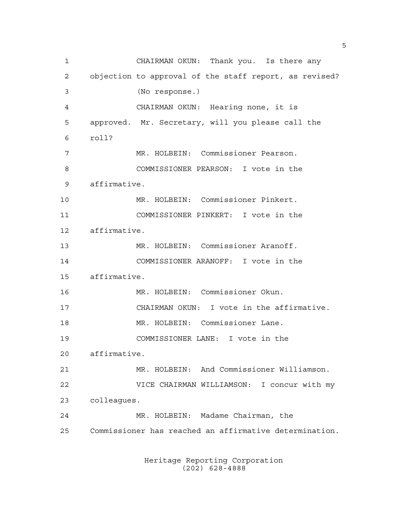CHAIRMAN OKUN: Thank you. Is there any objection to approval of the staff report, as revised? (No response.) CHAIRMAN OKUN: Hearing none, it is approved. Mr. Secretary, will you please call the roll? MR. HOLBEIN: Commissioner Pearson. COMMISSIONER PEARSON: I vote in the affirmative. MR. HOLBEIN: Commissioner Pinkert. COMMISSIONER PINKERT: I vote in the affirmative. MR. HOLBEIN: Commissioner Aranoff. COMMISSIONER ARANOFF: I vote in the affirmative. MR. HOLBEIN: Commissioner Okun. CHAIRMAN OKUN: I vote in the affirmative. MR. HOLBEIN: Commissioner Lane. COMMISSIONER LANE: I vote in the affirmative. MR. HOLBEIN: And Commissioner Williamson. VICE CHAIRMAN WILLIAMSON: I concur with my colleagues. MR. HOLBEIN: Madame Chairman, the Commissioner has reached an affirmative determination.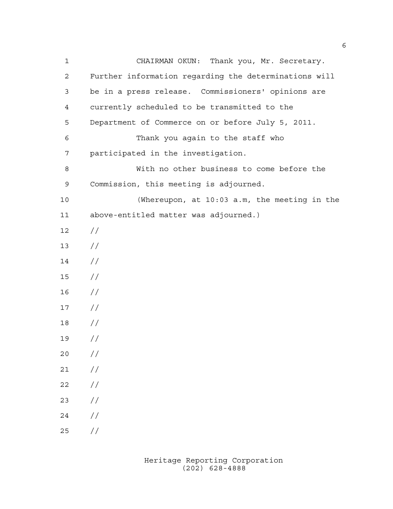CHAIRMAN OKUN: Thank you, Mr. Secretary. Further information regarding the determinations will be in a press release. Commissioners' opinions are currently scheduled to be transmitted to the Department of Commerce on or before July 5, 2011. Thank you again to the staff who participated in the investigation. With no other business to come before the Commission, this meeting is adjourned. (Whereupon, at 10:03 a.m, the meeting in the above-entitled matter was adjourned.) // //  $14 /$  // //  $17 /$  // //  $20 /$  $21 /$  $22 / /$  //  $24 /$  $25 / /$